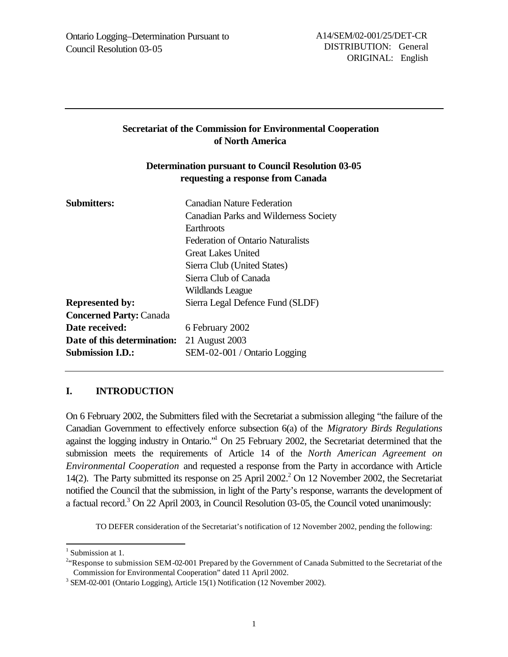## **Secretariat of the Commission for Environmental Cooperation of North America**

## **Determination pursuant to Council Resolution 03-05 requesting a response from Canada**

| <b>Submitters:</b>             | <b>Canadian Nature Federation</b>            |
|--------------------------------|----------------------------------------------|
|                                | <b>Canadian Parks and Wilderness Society</b> |
|                                | Earthroots                                   |
|                                | <b>Federation of Ontario Naturalists</b>     |
|                                | Great Lakes United                           |
|                                | Sierra Club (United States)                  |
|                                | Sierra Club of Canada                        |
|                                | Wildlands League                             |
| <b>Represented by:</b>         | Sierra Legal Defence Fund (SLDF)             |
| <b>Concerned Party: Canada</b> |                                              |
| Date received:                 | 6 February 2002                              |
| Date of this determination:    | 21 August 2003                               |
| <b>Submission I.D.:</b>        | SEM-02-001 / Ontario Logging                 |
|                                |                                              |

## **I. INTRODUCTION**

On 6 February 2002, the Submitters filed with the Secretariat a submission alleging "the failure of the Canadian Government to effectively enforce subsection 6(a) of the *Migratory Birds Regulations* against the logging industry in Ontario."<sup>1</sup> On 25 February 2002, the Secretariat determined that the submission meets the requirements of Article 14 of the *North American Agreement on Environmental Cooperation* and requested a response from the Party in accordance with Article 14(2). The Party submitted its response on 25 April 2002.<sup>2</sup> On 12 November 2002, the Secretariat notified the Council that the submission, in light of the Party's response, warrants the development of a factual record.<sup>3</sup> On 22 April 2003, in Council Resolution 03-05, the Council voted unanimously:

TO DEFER consideration of the Secretariat's notification of 12 November 2002, pending the following:

l

<sup>&</sup>lt;sup>1</sup> Submission at 1.

<sup>&</sup>lt;sup>24</sup> Response to submission SEM-02-001 Prepared by the Government of Canada Submitted to the Secretariat of the Commission for Environmental Cooperation" dated 11 April 2002.

<sup>&</sup>lt;sup>3</sup> SEM-02-001 (Ontario Logging), Article 15(1) Notification (12 November 2002).